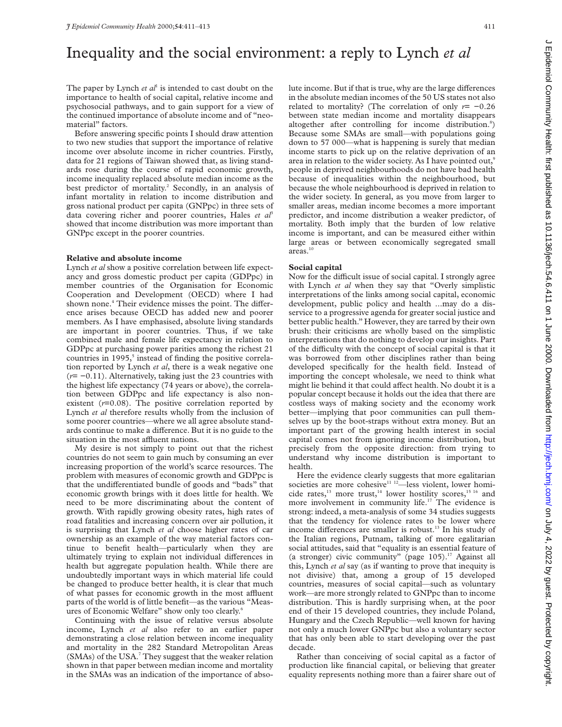# Inequality and the social environment: a reply to Lynch *et al*

The paper by Lynch *et al*<sup>1</sup> is intended to cast doubt on the importance to health of social capital, relative income and psychosocial pathways, and to gain support for a view of the continued importance of absolute income and of "neomaterial" factors.

Before answering specific points I should draw attention to two new studies that support the importance of relative income over absolute income in richer countries. Firstly, data for 21 regions of Taiwan showed that, as living standards rose during the course of rapid economic growth, income inequality replaced absolute median income as the best predictor of mortality.<sup>2</sup> Secondly, in an analysis of infant mortality in relation to income distribution and gross national product per capita (GNPpc) in three sets of data covering richer and poorer countries, Hales *et al*<sup>3</sup> showed that income distribution was more important than GNPpc except in the poorer countries.

#### **Relative and absolute income**

Lynch *et al* show a positive correlation between life expectancy and gross domestic product per capita (GDPpc) in member countries of the Organisation for Economic Cooperation and Development (OECD) where I had shown none.<sup>4</sup> Their evidence misses the point. The difference arises because OECD has added new and poorer members. As I have emphasised, absolute living standards are important in poorer countries. Thus, if we take combined male and female life expectancy in relation to GDPpc at purchasing power parities among the richest 21 countries in  $1995$ ,<sup>5</sup> instead of finding the positive correlation reported by Lynch *et al*, there is a weak negative one (*r*= −0.11). Alternatively, taking just the 23 countries with the highest life expectancy (74 years or above), the correlation between GDPpc and life expectancy is also nonexistent (*r*=0.08). The positive correlation reported by Lynch *et al* therefore results wholly from the inclusion of some poorer countries—where we all agree absolute standards continue to make a difference. But it is no guide to the situation in the most affluent nations.

My desire is not simply to point out that the richest countries do not seem to gain much by consuming an ever increasing proportion of the world's scarce resources. The problem with measures of economic growth and GDPpc is that the undifferentiated bundle of goods and "bads" that economic growth brings with it does little for health. We need to be more discriminating about the content of growth. With rapidly growing obesity rates, high rates of road fatalities and increasing concern over air pollution, it is surprising that Lynch *et al* choose higher rates of car ownership as an example of the way material factors continue to benefit health—particularly when they are ultimately trying to explain not individual differences in health but aggregate population health. While there are undoubtedly important ways in which material life could be changed to produce better health, it is clear that much of what passes for economic growth in the most affluent parts of the world is of little benefit—as the various "Measures of Economic Welfare" show only too clearly.<sup>6</sup>

Continuing with the issue of relative versus absolute income, Lynch *et al* also refer to an earlier paper demonstrating a close relation between income inequality and mortality in the 282 Standard Metropolitan Areas (SMAs) of the USA.7 They suggest that the weaker relation shown in that paper between median income and mortality in the SMAs was an indication of the importance of abso-

lute income. But if that is true, why are the large differences in the absolute median incomes of the 50 US states not also related to mortality? (The correlation of only *r*= −0.26 between state median income and mortality disappears altogether after controlling for income distribution.<sup>8</sup>) Because some SMAs are small—with populations going down to 57 000—what is happening is surely that median income starts to pick up on the relative deprivation of an area in relation to the wider society. As I have pointed out,<sup>9</sup> people in deprived neighbourhoods do not have bad health because of inequalities within the neighbourhood, but because the whole neighbourhood is deprived in relation to the wider society. In general, as you move from larger to smaller areas, median income becomes a more important predictor, and income distribution a weaker predictor, of mortality. Both imply that the burden of low relative income is important, and can be measured either within large areas or between economically segregated small  $\arccos.^{10}$ 

### **Social capital**

Now for the difficult issue of social capital. I strongly agree with Lynch *et al* when they say that "Overly simplistic interpretations of the links among social capital, economic development, public policy and health ...may do a disservice to a progressive agenda for greater social justice and better public health." However, they are tarred by their own brush: their criticisms are wholly based on the simplistic interpretations that do nothing to develop our insights. Part of the difficulty with the concept of social capital is that it was borrowed from other disciplines rather than being developed specifically for the health field. Instead of importing the concept wholesale, we need to think what might lie behind it that could affect health. No doubt it is a popular concept because it holds out the idea that there are costless ways of making society and the economy work better—implying that poor communities can pull themselves up by the boot-straps without extra money. But an important part of the growing health interest in social capital comes not from ignoring income distribution, but precisely from the opposite direction: from trying to understand why income distribution is important to health.

Here the evidence clearly suggests that more egalitarian societies are more cohesive<sup>11 12</sup>-less violent, lower homicide rates,<sup>13</sup> more trust,<sup>14</sup> lower hostility scores,<sup>15 16</sup> and more involvement in community life.<sup>17</sup> The evidence is strong: indeed, a meta-analysis of some 34 studies suggests that the tendency for violence rates to be lower where income differences are smaller is robust.<sup>13</sup> In his study of the Italian regions, Putnam, talking of more egalitarian social attitudes, said that "equality is an essential feature of (a stronger) civic community" (page  $105$ ).<sup>17</sup> Against all this, Lynch *et al* say (as if wanting to prove that inequity is not divisive) that, among a group of 15 developed countries, measures of social capital—such as voluntary work—are more strongly related to GNPpc than to income distribution. This is hardly surprising when, at the poor end of their 15 developed countries, they include Poland, Hungary and the Czech Republic—well known for having not only a much lower GNPpc but also a voluntary sector that has only been able to start developing over the past decade.

Rather than conceiving of social capital as a factor of production like financial capital, or believing that greater equality represents nothing more than a fairer share out of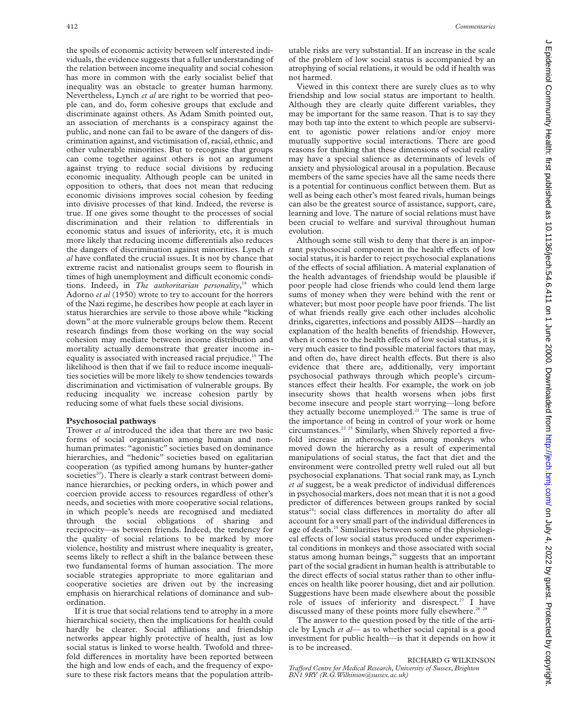the spoils of economic activity between self interested individuals, the evidence suggests that a fuller understanding of the relation between income inequality and social cohesion has more in common with the early socialist belief that inequality was an obstacle to greater human harmony. Nevertheless, Lynch *et al* are right to be worried that people can, and do, form cohesive groups that exclude and discriminate against others. As Adam Smith pointed out, an association of merchants is a conspiracy against the public, and none can fail to be aware of the dangers of discrimination against, and victimisation of, racial, ethnic, and other vulnerable minorities. But to recognise that groups can come together against others is not an argument against trying to reduce social divisions by reducing economic inequality. Although people can be united in opposition to others, that does not mean that reducing economic divisions improves social cohesion by feeding into divisive processes of that kind. Indeed, the reverse is true. If one gives some thought to the processes of social discrimination and their relation to differentials in economic status and issues of inferiority, etc, it is much more likely that reducing income differentials also reduces the dangers of discrimination against minorities. Lynch *et al* have conflated the crucial issues. It is not by chance that extreme racist and nationalist groups seem to flourish in times of high unemployment and difficult economic conditions. Indeed, in *The authoritarian personality*, <sup>18</sup> which Adorno *et al* (1950) wrote to try to account for the horrors of the Nazi regime, he describes how people at each layer in status hierarchies are servile to those above while "kicking down" at the more vulnerable groups below them. Recent research findings from those working on the way social cohesion may mediate between income distribution and mortality actually demonstrate that greater income inequality is associated with increased racial prejudice.<sup>19</sup> The likelihood is then that if we fail to reduce income inequalities societies will be more likely to show tendencies towards discrimination and victimisation of vulnerable groups. By reducing inequality we increase cohesion partly by reducing some of what fuels these social divisions.

## **Psychosocial pathways**

Trower *et al* introduced the idea that there are two basic forms of social organisation among human and nonhuman primates: "agonistic" societies based on dominance hierarchies, and "hedonic" societies based on egalitarian cooperation (as typified among humans by hunter-gather societies<sup>20</sup>). There is clearly a stark contrast between dominance hierarchies, or pecking orders, in which power and coercion provide access to resources regardless of other's needs, and societies with more cooperative social relations, in which people's needs are recognised and mediated through the social obligations of sharing and reciprocity—as between friends. Indeed, the tendency for the quality of social relations to be marked by more violence, hostility and mistrust where inequality is greater, seems likely to reflect a shift in the balance between these two fundamental forms of human association. The more sociable strategies appropriate to more egalitarian and cooperative societies are driven out by the increasing emphasis on hierarchical relations of dominance and subordination.

If it is true that social relations tend to atrophy in a more hierarchical society, then the implications for health could hardly be clearer. Social affiliations and friendship networks appear highly protective of health, just as low social status is linked to worse health. Twofold and threefold differences in mortality have been reported between the high and low ends of each, and the frequency of exposure to these risk factors means that the population attributable risks are very substantial. If an increase in the scale of the problem of low social status is accompanied by an atrophying of social relations, it would be odd if health was not harmed.

Viewed in this context there are surely clues as to why friendship and low social status are important to health. Although they are clearly quite different variables, they may be important for the same reason. That is to say they may both tap into the extent to which people are subservient to agonistic power relations and/or enjoy more mutually supportive social interactions. There are good reasons for thinking that these dimensions of social reality may have a special salience as determinants of levels of anxiety and physiological arousal in a population. Because members of the same species have all the same needs there is a potential for continuous conflict between them. But as well as being each other's most feared rivals, human beings can also be the greatest source of assistance, support, care, learning and love. The nature of social relations must have been crucial to welfare and survival throughout human evolution.

Although some still wish to deny that there is an important psychosocial component in the health effects of low social status, it is harder to reject psychosocial explanations of the effects of social affiliation. A material explanation of the health advantages of friendship would be plausible if poor people had close friends who could lend them large sums of money when they were behind with the rent or whatever; but most poor people have poor friends. The list of what friends really give each other includes alcoholic drinks, cigarettes, infections and possibly AIDS—hardly an explanation of the health benefits of friendship. However, when it comes to the health effects of low social status, it is very much easier to find possible material factors that may, and often do, have direct health effects. But there is also evidence that there are, additionally, very important psychosocial pathways through which people's circumstances effect their health. For example, the work on job insecurity shows that health worsens when jobs first become insecure and people start worrying—long before they actually become unemployed.<sup>21</sup> The same is true of the importance of being in control of your work or home circumstances.<sup>22</sup> <sup>23</sup> Similarly, when Shively reported a fivefold increase in atherosclerosis among monkeys who moved down the hierarchy as a result of experimental manipulations of social status, the fact that diet and the environment were controlled pretty well ruled out all but psychosocial explanations. That social rank may, as Lynch *et al* suggest, be a weak predictor of individual differences in psychosocial markers, does not mean that it is not a good predictor of differences between groups ranked by social status<sup>24</sup>: social class differences in mortality do after all account for a very small part of the individual differences in age of death.<sup>25</sup> Similarities between some of the physiological effects of low social status produced under experimental conditions in monkeys and those associated with social status among human beings, $26$  suggests that an important part of the social gradient in human health is attributable to the direct effects of social status rather than to other influences on health like poorer housing, diet and air pollution. Suggestions have been made elsewhere about the possible role of issues of inferiority and disrespect.<sup>27</sup> I have discussed many of these points more fully elsewhere.<sup>28 2</sup>

The answer to the question posed by the title of the article by Lynch *et al*— as to whether social capital is a good investment for public health—is that it depends on how it is to be increased.

### RICHARD G WILKINSON

*TraVord Centre for Medical Research, University of Sussex, Brighton BN1 9RY (R.G.Wilkinson@sussex.ac.uk)*